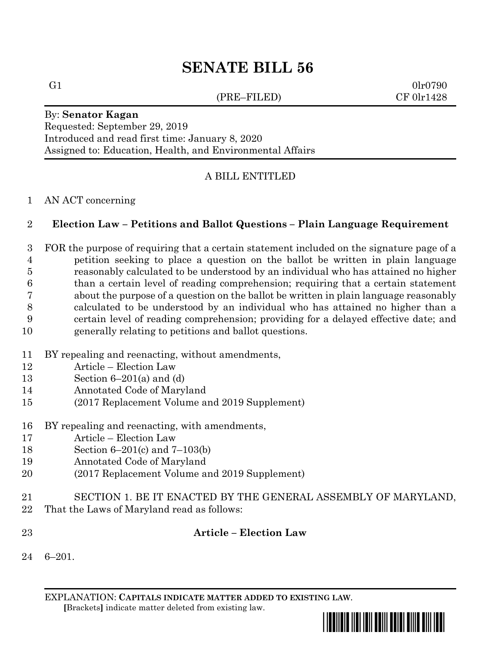# **SENATE BILL 56**

(PRE–FILED) CF 0lr1428

G1  $0\ln 0790$ 

#### By: **Senator Kagan** Requested: September 29, 2019 Introduced and read first time: January 8, 2020 Assigned to: Education, Health, and Environmental Affairs

# A BILL ENTITLED

## AN ACT concerning

# **Election Law – Petitions and Ballot Questions – Plain Language Requirement**

 FOR the purpose of requiring that a certain statement included on the signature page of a petition seeking to place a question on the ballot be written in plain language reasonably calculated to be understood by an individual who has attained no higher than a certain level of reading comprehension; requiring that a certain statement about the purpose of a question on the ballot be written in plain language reasonably calculated to be understood by an individual who has attained no higher than a certain level of reading comprehension; providing for a delayed effective date; and generally relating to petitions and ballot questions.

- BY repealing and reenacting, without amendments,
- Article Election Law
- Section 6–201(a) and (d)
- Annotated Code of Maryland
- (2017 Replacement Volume and 2019 Supplement)
- BY repealing and reenacting, with amendments,
- Article Election Law
- Section 6–201(c) and 7–103(b)
- Annotated Code of Maryland
- (2017 Replacement Volume and 2019 Supplement)
- SECTION 1. BE IT ENACTED BY THE GENERAL ASSEMBLY OF MARYLAND,
- That the Laws of Maryland read as follows:
- **Article – Election Law**
- 6–201.

EXPLANATION: **CAPITALS INDICATE MATTER ADDED TO EXISTING LAW**.  **[**Brackets**]** indicate matter deleted from existing law.

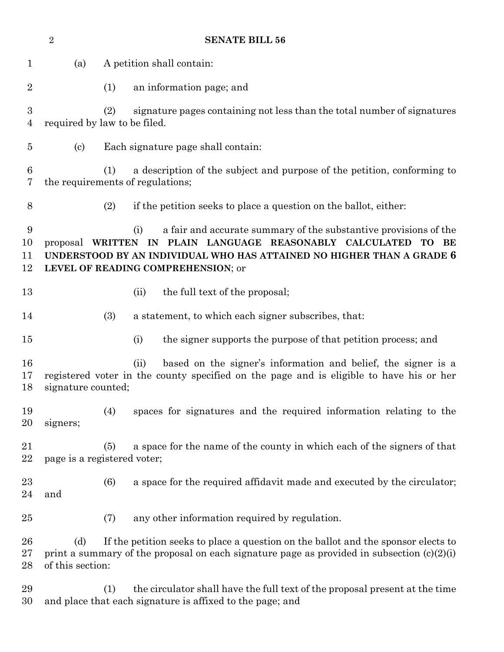|                                    | $\sqrt{2}$                 | <b>SENATE BILL 56</b>                                                                                                                                                                                                                                           |
|------------------------------------|----------------------------|-----------------------------------------------------------------------------------------------------------------------------------------------------------------------------------------------------------------------------------------------------------------|
| $\mathbf{1}$                       | (a)                        | A petition shall contain:                                                                                                                                                                                                                                       |
| $\overline{2}$                     |                            | an information page; and<br>(1)                                                                                                                                                                                                                                 |
| $\boldsymbol{3}$<br>$\overline{4}$ |                            | (2)<br>signature pages containing not less than the total number of signatures<br>required by law to be filed.                                                                                                                                                  |
| $\overline{5}$                     | $\left( \mathrm{c}\right)$ | Each signature page shall contain:                                                                                                                                                                                                                              |
| 6<br>7                             |                            | a description of the subject and purpose of the petition, conforming to<br>(1)<br>the requirements of regulations;                                                                                                                                              |
| 8                                  |                            | (2)<br>if the petition seeks to place a question on the ballot, either:                                                                                                                                                                                         |
| 9<br>10<br>11<br>12                |                            | a fair and accurate summary of the substantive provisions of the<br>(i)<br>proposal WRITTEN IN PLAIN LANGUAGE REASONABLY CALCULATED<br>TO.<br>BE<br>UNDERSTOOD BY AN INDIVIDUAL WHO HAS ATTAINED NO HIGHER THAN A GRADE 6<br>LEVEL OF READING COMPREHENSION; or |
| 13                                 |                            | the full text of the proposal;<br>(ii)                                                                                                                                                                                                                          |
| 14                                 |                            | (3)<br>a statement, to which each signer subscribes, that:                                                                                                                                                                                                      |
| 15                                 |                            | the signer supports the purpose of that petition process; and<br>(i)                                                                                                                                                                                            |
| 16<br>17<br>18                     | signature counted;         | based on the signer's information and belief, the signer is a<br>(ii)<br>registered voter in the county specified on the page and is eligible to have his or her                                                                                                |
| 19<br>20                           | signers;                   | (4)<br>spaces for signatures and the required information relating to the                                                                                                                                                                                       |
| 21<br>$\bf 22$                     |                            | a space for the name of the county in which each of the signers of that<br>(5)<br>page is a registered voter;                                                                                                                                                   |
| 23<br>24                           | and                        | a space for the required affidavit made and executed by the circulator;<br>(6)                                                                                                                                                                                  |
| 25                                 |                            | (7)<br>any other information required by regulation.                                                                                                                                                                                                            |
| 26<br>27<br>28                     | (d)<br>of this section:    | If the petition seeks to place a question on the ballot and the sponsor elects to<br>print a summary of the proposal on each signature page as provided in subsection $(c)(2)(i)$                                                                               |
| 29<br>30                           |                            | the circulator shall have the full text of the proposal present at the time<br>(1)<br>and place that each signature is affixed to the page; and                                                                                                                 |